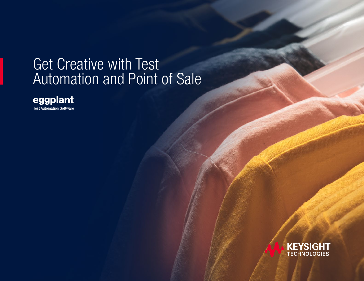# Get Creative with Test Automation and Point of Sale



**Test Automation Software** 

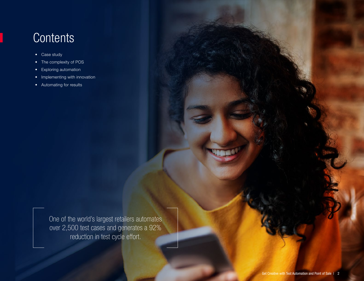### **Contents**

- Case study
- The complexity of POS
- Exploring automation
- Implementing with innovation
- Automating for results

One of the world's largest retailers automates over 2,500 test cases and generates a 92% reduction in test cycle effort.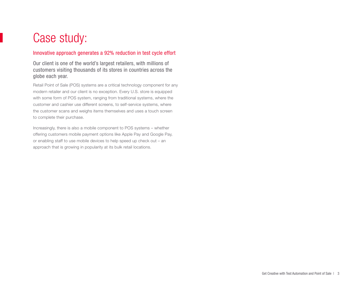### Case study:

#### Innovative approach generates a 92% reduction in test cycle effort

Our client is one of the world's largest retailers, with millions of customers visiting thousands of its stores in countries across the globe each year.

Retail Point of Sale (POS) systems are a critical technology component for any modern retailer and our client is no exception. Every U.S. store is equipped with some form of POS system, ranging from traditional systems, where the customer and cashier use different screens, to self-service systems, where the customer scans and weighs items themselves and uses a touch screen to complete their purchase.

Increasingly, there is also a mobile component to POS systems – whether offering customers mobile payment options like Apple Pay and Google Pay, or enabling staff to use mobile devices to help speed up check out – an approach that is growing in popularity at its bulk retail locations.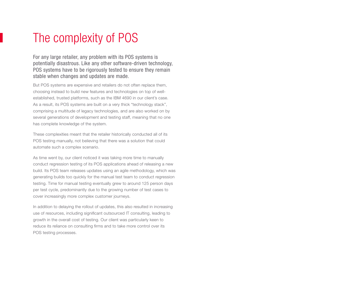## The complexity of POS

For any large retailer, any problem with its POS systems is potentially disastrous. Like any other software-driven technology, POS systems have to be rigorously tested to ensure they remain stable when changes and updates are made.

But POS systems are expensive and retailers do not often replace them, choosing instead to build new features and technologies on top of wellestablished, trusted platforms, such as the IBM 4690 in our client's case. As a result, its POS systems are built on a very thick "technology stack", comprising a multitude of legacy technologies, and are also worked on by several generations of development and testing staff, meaning that no one has complete knowledge of the system.

These complexities meant that the retailer historically conducted all of its POS testing manually, not believing that there was a solution that could automate such a complex scenario.

As time went by, our client noticed it was taking more time to manually conduct regression testing of its POS applications ahead of releasing a new build. Its POS team releases updates using an agile methodology, which was generating builds too quickly for the manual test team to conduct regression testing. Time for manual testing eventually grew to around 125 person days per test cycle, predominantly due to the growing number of test cases to cover increasingly more complex customer journeys.

In addition to delaying the rollout of updates, this also resulted in increasing use of resources, including significant outsourced IT consulting, leading to growth in the overall cost of testing. Our client was particularly keen to reduce its reliance on consulting firms and to take more control over its POS testing processes.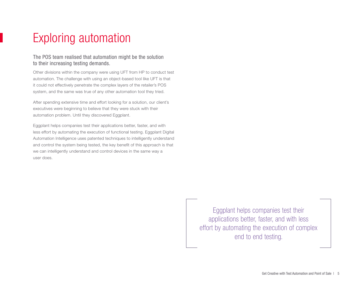# Exploring automation

#### The POS team realised that automation might be the solution to their increasing testing demands.

Other divisions within the company were using UFT from HP to conduct test automation. The challenge with using an object-based tool like UFT is that it could not effectively penetrate the complex layers of the retailer's POS system, and the same was true of any other automation tool they tried.

After spending extensive time and effort looking for a solution, our client's executives were beginning to believe that they were stuck with their automation problem. Until they discovered Eggplant.

Eggplant helps companies test their applications better, faster, and with less effort by automating the execution of functional testing. Eggplant Digital Automation Intelligence uses patented techniques to intelligently understand and control the system being tested, the key benefit of this approach is that we can intelligently understand and control devices in the same way a user does.

> Eggplant helps companies test their applications better, faster, and with less effort by automating the execution of complex end to end testing.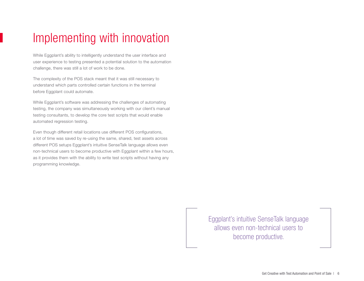## Implementing with innovation

While Eggplant's ability to intelligently understand the user interface and user experience to testing presented a potential solution to the automation challenge, there was still a lot of work to be done.

The complexity of the POS stack meant that it was still necessary to understand which parts controlled certain functions in the terminal before Eggplant could automate.

While Eggplant's software was addressing the challenges of automating testing, the company was simultaneously working with our client's manual testing consultants, to develop the core test scripts that would enable automated regression testing.

Even though different retail locations use different POS configurations, a lot of time was saved by re-using the same, shared, test assets across different POS setups Eggplant's intuitive SenseTalk language allows even non-technical users to become productive with Eggplant within a few hours, as it provides them with the ability to write test scripts without having any programming knowledge.

> Eggplant's intuitive SenseTalk language allows even non-technical users to become productive.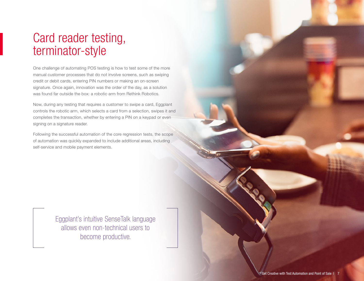### Card reader testing, terminator-style

One challenge of automating POS testing is how to test some of the more manual customer processes that do not involve screens, such as swiping credit or debit cards, entering PIN numbers or making an on-screen signature. Once again, innovation was the order of the day, as a solution was found far outside the box: a robotic arm from Rethink Robotics.

Now, during any testing that requires a customer to swipe a card, Eggplant controls the robotic arm, which selects a card from a selection, swipes it and completes the transaction, whether by entering a PIN on a keypad or even signing on a signature reader.

Following the successful automation of the core regression tests, the scope of automation was quickly expanded to include additional areas, including self-service and mobile payment elements.

> Eggplant's intuitive SenseTalk language allows even non-technical users to become productive.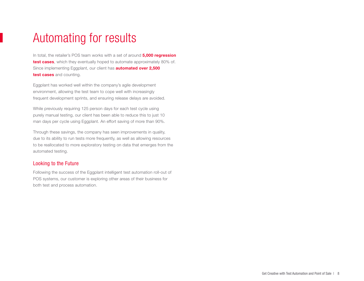### Automating for results

In total, the retailer's POS team works with a set of around **5,000 regression** test cases, which they eventually hoped to automate approximately 80% of. Since implementing Eggplant, our client has **automated over 2,500** test cases and counting.

Eggplant has worked well within the company's agile development environment, allowing the test team to cope well with increasingly frequent development sprints, and ensuring release delays are avoided.

While previously requiring 125 person days for each test cycle using purely manual testing, our client has been able to reduce this to just 10 man days per cycle using Eggplant. An effort saving of more than 90%.

Through these savings, the company has seen improvements in quality, due to its ability to run tests more frequently, as well as allowing resources to be reallocated to more exploratory testing on data that emerges from the automated testing.

#### Looking to the Future

Following the success of the Eggplant intelligent test automation roll-out of POS systems, our customer is exploring other areas of their business for both test and process automation.